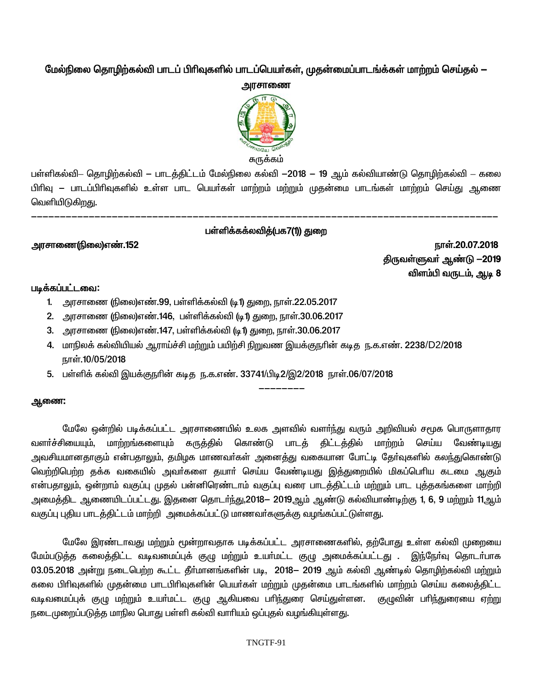## மேல்நிலை தொழிற்கல்வி பாடப் பிரிவுகளில் பாடப்பெயர்கள், முதன்மைப்பாடங்க்கள் மாற்றம் செய்தல் —



பள்ளிகல்வி– தொழிற்கல்வி — பாடத்திட்டம் மேல்நிலை கல்வி  $-2018$  — 19 ஆம் கல்வியாண்டு தொழிற்கல்வி – கலை பிரிவு – பாடப்பிரிவுகளில் உள்ள பாட பெயர்கள் மாற்றம் மற்றும் முதன்மை பாடங்கள் மாற்றம் செய்து ஆணை வெளியிடுகிறது.

## பள்ளிக்கக்லவிக்(பக7(1)) கு**ண**

---------------------------------------------------------------------------------

--------

**murhiz(ãiy)v©.152 ehŸ.20.07.2018** <u>திருவள்ளுவர் ஆண்டு —2019</u> விளம்பி வருடம், ஆடி 8

### படிக்கப்பட்டவை:

- 1. அரசாணை (நிலை)எண்.99, பள்ளிக்கல்வி (டி1) துறை, நாள்.22.05.2017
- 2. அரசாணை (நிலை)எண்.146, பள்ளிக்கல்வி (டி1) துறை, நாள்.30.06.2017
- 3. அரசாணை (நிலை)எண்.147, பள்ளிக்கல்வி (டி1) துறை, நாள்.30.06.2017
- 4. மாநிலக் கல்வியியல் ஆராய்ச்சி மற்றும் பயிற்சி நிறுவண இயக்குநரின் கடித ந.க.எண். 2238/D2/2018 நாள்.10/05/2018
- 5. பள்ளிக் கல்வி இயக்குநரின் கடித ந.க.எண். 33741/பிடி2/இ2/2018 நாள்.06/07/2018

### **ஆணை:**

மேலே ஒன்றில் படிக்கப்பட்ட அரசாணையில் உலக அளவில் வளர்ந்து வரும் அறிவியல் சமூக பொருளாதார வளர்ச்சியையும், மாற்றங்களையும் கருத்தில் கொண்டு பாடத் திட்டத்தில் மாற்றம் செய்ய வேண்டியது அவசியமானதாகும் என்பதாலும், தமிழக மாணவா்கள் அனைத்து வகையான போட்டி தோ்வுகளில் கலந்துகொண்டு <u>வெற்றிபெற்ற</u> தக்க வகையில் அவர்களை தயார் செய்ய வேண்டியது இத்துறையில் மிகப்பெரிய கடமை ஆகும் என்பதாலும், ஒன்றாம் வகுப்பு முதல் பன்னிரெண்டாம் வகுப்பு வரை பாடத்திட்டம் மற்றும் பாட புத்தகங்களை மாற்றி அமைத்திட ஆணையிடப்பட்டது. இதனை தொடா்ந்து,2018— 2019ஆம் ஆண்டு கல்வியாண்டிற்கு 1, 6, 9 மற்றும் 11ஆம் வகுப்பு புதிய பாடத்திட்டம் மாற்றி அமைக்கப்பட்டு மாணவர்களுக்கு வழங்கப்பட்டுள்ளது.

யேலே இரண்டாவது மற்றும் மூன்றாவதாக படிக்கப்பட்ட அரசாணைகளில், தற்போது உள்ள கல்வி முறையை மேம்படுத்த கலைத்திட்ட வடிவமைப்புக் குழு மற்றும் உயர்மட்ட குழு அமைக்கப்பட்டது . இந்நேர்வு தொடர்பாக 03.05.2018 அன்று நடைபெற்ற கூட்ட தீர்மானங்களின் படி, 2018— 2019 ஆம் கல்வி ஆண்டில் தொழிற்கல்வி மற்றும் கலை பிரிவுகளில் முதன்மை பாடபிரிவுகளின் பெயர்கள் மற்றும் முதன்மை பாடங்களில் மாற்றம் செய்ய கலைத்திட்ட வடிவமைப்புக் குழு மற்றும் உயா்மட்ட குழு ஆகியவை பாிந்துரை செய்துள்ளன. குழுவின் பாிந்துரையை ஏற்று நடைமுறைப்படுத்த மாநில பொது பள்ளி கல்வி வாரியம் ஒப்புதல் வழங்கியுள்ளது.

#### TNGTF-91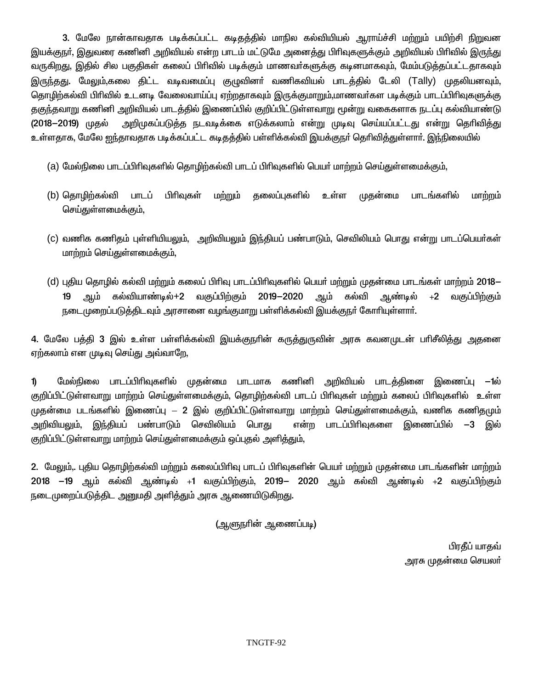3. மேலே நான்காவதாக படிக்கப்பட்ட கடிதத்தில் மாநில கல்வியியல் ஆராய்ச்சி மற்றும் பயிற்சி நிறுவன இயக்குநா், இதுவரை கணினி அறிவியல் என்ற பாடம் மட்டுமே அனைத்து பிாிவுகளுக்கும் அறிவியல் பிாிவில் இருந்து வருகிறது, இதில் சில பகுதிகள் கலைப் பிரிவில் படிக்கும் மாணவா்களுக்கு கடினமாகவும், மேம்படுத்தப்பட்டதாகவும் இருந்தது. மேலும்,கலை திட்ட வடிவமைப்பு குழுவினா் வணிகவியல் பாடத்தில் டேலி (Tally) முதலியனவும், தொழிற்கல்வி பிரிவில் உடனடி வேலைவாய்ப்பு ஏற்றதாகவும் இருக்குமாறும்,மாணவர்கள படிக்கும் பாடப்பிரிவுகளுக்கு தகுந்தவாறு கணினி அறிவியல் பாடத்தில் இணைப்பில் குறிப்பிட்டுள்ளவாறு மூன்று வகைகளாக நடப்பு கல்வியாண்டு அறிமுகப்படுத்த நடவடிக்கை எடுக்கலாம் என்று முடிவு செய்யப்பட்டது என்று தெரிவித்து (2018-2019) முதல் உள்ளதாக, மேலே ஐந்தாவதாக படிக்கப்பட்ட கடிதத்தில் பள்ளிக்கல்வி இயக்குநா் தெரிவித்துள்ளாா். இந்நிலையில்

- (a) மேல்நிலை பாடப்பிரிவுகளில் தொழிற்கல்வி பாடப் பிரிவுகளில் பெயர் மாற்றம் செய்துள்ளமைக்கும்,
- (b) தொழிற்கல்வி பாடப் பிரிவுகள் மற்றும் தலைப்புகளில் உள்ள முதன்மை பாடங்களில் மாற்றம் செய்துள்ளமைக்கும்,
- (c) வணிக கணிதம் புள்ளியியலும், அறிவியலும் இந்தியப் பண்பாடும், செவிலியம் பொது என்று பாடப்பெயர்கள் மாற்றம் செய்துள்ளமைக்கும்.
- (d) புதிய தொழில் கல்வி மற்றும் கலைப் பிரிவு பாடப்பிரிவுகளில் பெயர் மற்றும் முதன்மை பாடங்கள் மாற்றம் 2018– ஆம் கல்வியாண்டில்+2 வகுப்பிற்கும் 2019-2020 ஆண்டில்  $+2$ 19 ஆம் கல்வி வகுப்பிற்கும் நடைமுறைப்படுத்திடவும் அரசானை வழங்குமாறு பள்ளிக்கல்வி இயக்குநர் கோரியுள்ளார்.

4. மேலே பத்தி 3 இல் உள்ள பள்ளிக்கல்வி இயக்குநரின் கருத்துருவின் அரசு கவனமுடன் பரிசீலித்து அதனை ஏற்கலாம் என முடிவு செய்து அவ்வாறே,

 $\mathbf{D}$ மேல்நிலை பாடப்பிரிவுகளில் முதன்மை பாடமாக கணினி அறிவியல் பாடத்தினை இணைப்பு —1ல் குறிப்பிட்டுள்ளவாறு மாற்றம் செய்துள்ளமைக்கும், தொழிற்கல்வி பாடப் பிரிவுகள் மற்றும் கலைப் பிரிவுகளில் உள்ள முதன்மை படங்களில் இணைப்பு — 2 இல் குறிப்பிட்டுள்ளவாறு மாற்றம் செய்துள்ளமைக்கும், வணிக கணிதமும் அறிவியலும், இந்தியப் பண்பாடும் செவிலியம் பொது என்ற பாடப்பிரிவுகளை இணைப்பில் —3 இல் குறிப்பிட்டுள்ளவாறு மாற்றம் செய்துள்ளமைக்கும் ஒப்புதல் அளிக்தும்.

2. மேலும், புதிய தொழிற்கல்வி மற்றும் கலைப்பிரிவு பாடப் பிரிவுகளின் பெயர் மற்றும் முதன்மை பாடங்களின் மாற்றம் 2018 –19 ஆம் கல்வி ஆண்டில் +1 வகுப்பிற்கும், 2019– 2020 ஆம் கல்வி ஆண்டில் +2 வகுப்பிற்கும் நடைமுறைப்படுத்திட அனுமதி அளித்தும் அரசு ஆணையிடுகிறது.

(ஆளுநாின் ஆணைப்படி)

பிரதீப் யாதவ் அரசு முதன்மை செயல<mark>ா்</mark>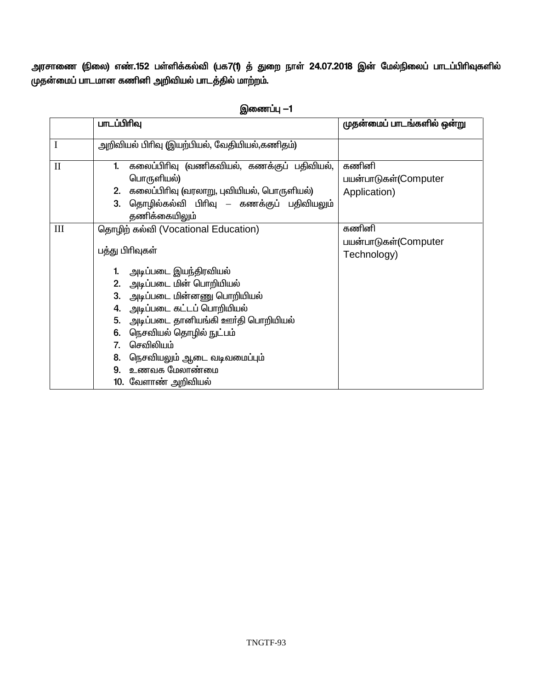அரசாணை (நிலை) எண்.152 பள்ளிக்கல்வி (பக7(1) த் துறை நாள் 24.07.2018 இன் மேல்நிலைப் பாடப்பிரிவுகளில் முதன்மைப் பாடமான கணினி அறிவியல் பாடத்தில் மாற்றம்.

|                             | பாடப்பிரிவு                                                                                                                                                                           | முதன்மைப் பாடங்களில் ஒன்று                    |
|-----------------------------|---------------------------------------------------------------------------------------------------------------------------------------------------------------------------------------|-----------------------------------------------|
| $\mathbf I$                 | அறிவியல் பிரிவு (இயற்பியல், வேதியியல்,கணிதம்)                                                                                                                                         |                                               |
| $\rm II$                    | கலைப்பிரிவு (வணிகவியல், கணக்குப் பதிவியல்,<br>1.<br>பொருளியல்)<br>கலைப்பிரிவு (வரலாறு, புவியியல், பொருளியல்)<br>2.<br>தொழில்கல்வி பிரிவு – கணக்குப் பதிவியலும்<br>3.<br>தணிக்கையிலும் | கணினி<br>பயன்பாடுகள்(Computer<br>Application) |
| $\mathop{\rm III}\nolimits$ | தொழிற் கல்வி (Vocational Education)                                                                                                                                                   | கணினி<br>பயன்பாடுகள்(Computer                 |
|                             | பத்து பிரிவுகள்                                                                                                                                                                       | Technology)                                   |
|                             | அடிப்படை இயந்திரவியல்                                                                                                                                                                 |                                               |
|                             | 2. அடிப்படை மின் பொறியியல்                                                                                                                                                            |                                               |
|                             | அடிப்படை மின்னணு பொறியியல்<br>3.                                                                                                                                                      |                                               |
|                             | அடிப்படை கட்டப் பொறியியல்<br>4.<br>அடிப்படை தானியங்கி ஊர்தி பொறியியல்<br>5.                                                                                                           |                                               |
|                             | நெசவியல் தொழில் நுட்பம்<br>6.                                                                                                                                                         |                                               |
|                             | செவிலியம்<br>7.                                                                                                                                                                       |                                               |
|                             | 8.<br>நெசவியலும் ஆடை வடிவமைப்பும்                                                                                                                                                     |                                               |
|                             | உணவக மேலாண்மை<br>9.                                                                                                                                                                   |                                               |
|                             | 10. வேளாண் அறிவியல்                                                                                                                                                                   |                                               |

## **இணைப்பு —1**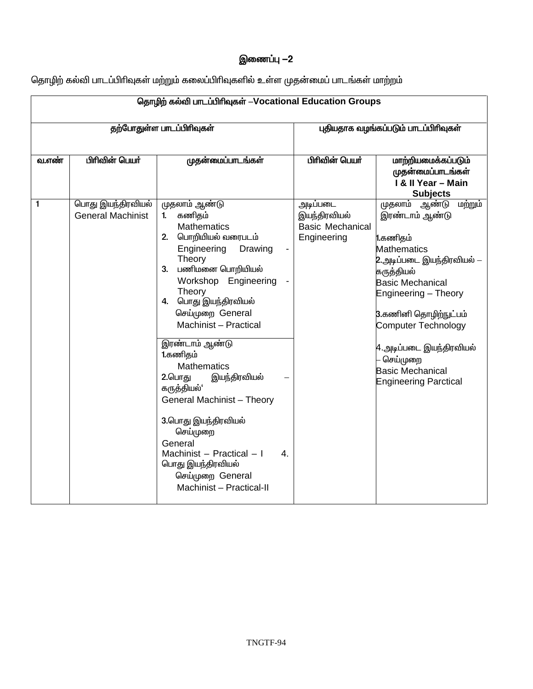## இணைப்பு −2

தொழிற் கல்வி பாடப்பிரிவுகள் மற்றும் கலைப்பிரிவுகளில் உள்ள முதன்மைப் பாடங்கள் மாற்றம்

| தொழிற் கல்வி பாடப்பிரிவுகள் -Vocational Education Groups |                                               |                                                                                                                                                                                                                                                                               |                                                                    |                                                                                                                                                                                                                                   |
|----------------------------------------------------------|-----------------------------------------------|-------------------------------------------------------------------------------------------------------------------------------------------------------------------------------------------------------------------------------------------------------------------------------|--------------------------------------------------------------------|-----------------------------------------------------------------------------------------------------------------------------------------------------------------------------------------------------------------------------------|
| தற்போதுள்ள பாடப்பிரிவுகள்                                |                                               |                                                                                                                                                                                                                                                                               | புதியதாக வழங்கப்படும் பாடப்பிரிவுகள்                               |                                                                                                                                                                                                                                   |
| <b>வ.எண்</b>                                             | பிரிவின் பெயர்                                | முதன்மைப்பாடங்கள்                                                                                                                                                                                                                                                             | பிரிவின் பெயர்                                                     | மாற்றியமைக்கப்படும்<br>முதன்மைப்பாடங்கள்<br>I & II Year - Main<br><b>Subjects</b>                                                                                                                                                 |
| 1                                                        | பொது இயந்திரவியல்<br><b>General Machinist</b> | முதலாம் ஆண்டு<br>கணிதம்<br>1 <sub>1</sub><br><b>Mathematics</b><br>2. பொறியியல் வரைபடம்<br>Engineering<br>Drawing<br>Theory<br>3. பணிமனை பொறியியல்<br>Workshop Engineering<br>Theory<br>4. பொது இயந்திரவியல்<br>செய்முறை General<br>Machinist - Practical                     | அடிப்படை<br>இயந்திரவியல்<br><b>Basic Mechanical</b><br>Engineering | <u>முதலாம் ஆண்டு</u><br>மற்றும்<br>இரண்டாம் ஆண்டு<br>1.கணிதம்<br>Mathematics<br>2.அடிப்படை இயந்திரவியல் —<br>கருத்தியல்<br><b>Basic Mechanical</b><br>Engineering - Theory<br>3.கணினி தொழிற்நுட்பம்<br><b>Computer Technology</b> |
|                                                          |                                               | இரண்டாம் ஆண்டு<br>1.கணிதம்<br><b>Mathematics</b><br>2.பொது<br>இயந்திரவியல்<br>கருத்தியல்'<br>General Machinist - Theory<br>3.பொது இயந்திரவியல்<br>செய்முறை<br>General<br>Machinist - Practical - I<br>4.<br>பொது இயந்திரவியல்<br>செய்முறை General<br>Machinist - Practical-II |                                                                    | 4.அடிப்படை இயந்திரவியல்<br>செய்முறை<br><b>Basic Mechanical</b><br><b>Engineering Parctical</b>                                                                                                                                    |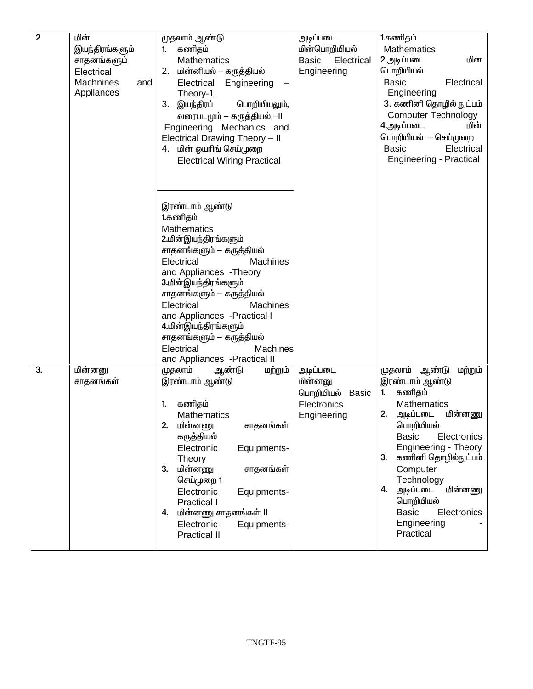| $\overline{2}$ | மின்             | முதலாம் ஆண்டு                        | அடிப்படை                   | 1.கணிதம்                                                 |
|----------------|------------------|--------------------------------------|----------------------------|----------------------------------------------------------|
|                | இயந்திரங்களும்   | கணிதம்<br>1.                         | மின்பொறியியல்              | Mathematics                                              |
|                | சாதனங்களும்      | <b>Mathematics</b>                   | Electrical<br><b>Basic</b> | மின<br>2.அடிப்படை                                        |
|                | Electrical       | 2. மின்னியல் – கருத்தியல்            | Engineering                | பொறியியல்                                                |
|                | Machnines<br>and | Electrical<br>Engineering            |                            | <b>Basic</b><br>Electrical                               |
|                | Appllances       | Theory-1                             |                            | Engineering                                              |
|                |                  | இயந்திரப்<br>பொறியியலும்,<br>3.      |                            | 3. கணினி தொழில் நுட்பம்                                  |
|                |                  | வரைபடமும் — கருத்தியல் --ll          |                            | <b>Computer Technology</b>                               |
|                |                  | Engineering Mechanics and            |                            | மின்<br>4.அடிப்படை                                       |
|                |                  | Electrical Drawing Theory - II       |                            | பொறியியல் – செய்முறை                                     |
|                |                  | 4. மின் ஒயரிங் செய்முறை              |                            | Electrical<br><b>Basic</b>                               |
|                |                  | <b>Electrical Wiring Practical</b>   |                            | <b>Engineering - Practical</b>                           |
|                |                  |                                      |                            |                                                          |
|                |                  |                                      |                            |                                                          |
|                |                  |                                      |                            |                                                          |
|                |                  | இரண்டாம் ஆண்டு                       |                            |                                                          |
|                |                  | 1.கணிதம்                             |                            |                                                          |
|                |                  | <b>Mathematics</b>                   |                            |                                                          |
|                |                  | 2.மின்இயந்திரங்களும்                 |                            |                                                          |
|                |                  | சாதனங்களும் — கருத்தியல்             |                            |                                                          |
|                |                  | Electrical<br><b>Machines</b>        |                            |                                                          |
|                |                  | and Appliances - Theory              |                            |                                                          |
|                |                  | 3.மின்இயந்திரங்களும்                 |                            |                                                          |
|                |                  | சாதனங்களும் — கருத்தியல்             |                            |                                                          |
|                |                  | Electrical<br><b>Machines</b>        |                            |                                                          |
|                |                  | and Appliances - Practical I         |                            |                                                          |
|                |                  | 4.மின்இயந்திரங்களும்                 |                            |                                                          |
|                |                  | சாதனங்களும் — கருத்தியல்             |                            |                                                          |
|                |                  | Electrical<br>Machines               |                            |                                                          |
|                |                  | and Appliances - Practical II        |                            |                                                          |
| 3.             | மின்னனு          | முதலாம்<br>மற்றும்<br>ஆண்டு          | அடிப்படை                   | முதலாம் ஆண்டு<br>மற்றும்                                 |
|                | சாதனங்கள்        | இரண்டாம் ஆண்டு                       | மின்னனு                    | இரண்டாம் ஆண்டு                                           |
|                |                  |                                      | பொறியியல் Basic            | கணிதம்<br>1.                                             |
|                |                  | கணிதம்<br>1.                         | Electronics                | <b>Mathematics</b>                                       |
|                |                  | <b>Mathematics</b>                   | Engineering                | 2.<br><u>மின்னணு</u><br>அடிப்படை                         |
|                |                  | 2.<br>மின்னணு<br>சாதனங்கள்           |                            | பொறியியல்                                                |
|                |                  | கருத்தியல்                           |                            | <b>Basic</b><br>Electronics                              |
|                |                  | Electronic<br>Equipments-            |                            | <b>Engineering - Theory</b><br>கணினி தொழில்நுட்பம்<br>3. |
|                |                  | Theory<br>மின்னணு<br>3.<br>சாதனங்கள் |                            | Computer                                                 |
|                |                  | செய்முறை 1                           |                            | Technology                                               |
|                |                  | Electronic<br>Equipments-            |                            | அடிப்படை<br>மின்னணு<br>4.                                |
|                |                  | Practical I                          |                            | பொறியியல்                                                |
|                |                  | மின்னணு சாதனங்கள் II<br>4.           |                            | <b>Basic</b><br>Electronics                              |
|                |                  | Electronic<br>Equipments-            |                            | Engineering                                              |
|                |                  | <b>Practical II</b>                  |                            | Practical                                                |
|                |                  |                                      |                            |                                                          |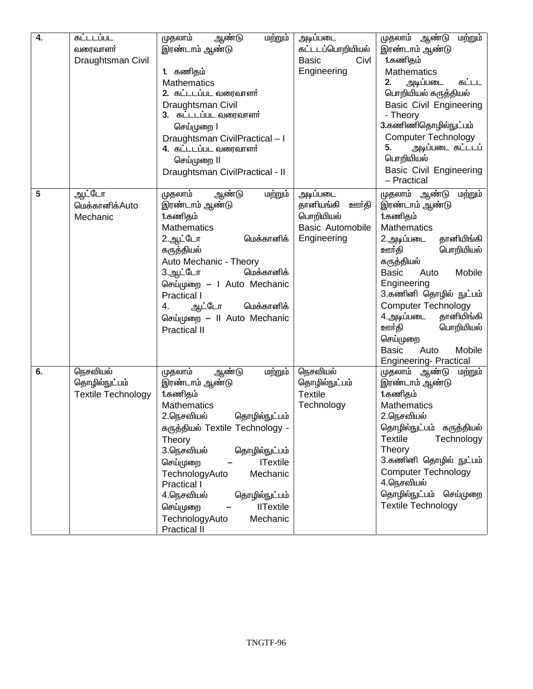| 4. | கட்டடப்பட<br>வரைவாளர்<br>Draughtsman Civil             | ஆண்டு<br>முதலாம்<br>மற்றும்<br>இரண்டாம் ஆண்டு<br>1. கணிதம்<br><b>Mathematics</b><br>2. கட்டடப்பட வரைவாளர்<br>Draughtsman Civil<br>3. கட்டடப்பட வரைவாளர்<br>செய்முறை l<br>Draughtsman CivilPractical-I<br>4. கட்டடப்பட வரைவாளர்<br>செய்முறை II<br>Draughtsman CivilPractical - II                                                                                                    | அடிப்படை<br>கட்டடப்பொறியியல்<br><b>Basic</b><br>Civl<br>Engineering                   | மற்றும்<br>முதலாம் ஆண்டு<br>இரண்டாம் ஆண்டு<br>1.கணிதம்<br>Mathematics<br>2.<br>அடிப்படை<br>கட்டட<br>பொறியியல் கருத்தியல்<br><b>Basic Civil Engineering</b><br>- Theory<br>3.கணிணிதொழில்நுட்பம்<br><b>Computer Technology</b><br>அடிப்படை கட்டடப்<br>5.<br>பொறியியல்<br><b>Basic Civil Engineering</b><br>- Practical                                                                     |
|----|--------------------------------------------------------|-------------------------------------------------------------------------------------------------------------------------------------------------------------------------------------------------------------------------------------------------------------------------------------------------------------------------------------------------------------------------------------|---------------------------------------------------------------------------------------|------------------------------------------------------------------------------------------------------------------------------------------------------------------------------------------------------------------------------------------------------------------------------------------------------------------------------------------------------------------------------------------|
| 5  | ஆட்டோ<br>மெக்கானிக்Auto<br>Mechanic                    | மற்றும்<br>ஆண்டு<br>முதலாம்<br>இரண்டாம் ஆண்டு<br>1.கணிதம்<br><b>Mathematics</b><br>2.ஆட்டோ<br>மெக்கானிக்<br>கருத்தியல்<br>Auto Mechanic - Theory<br>மெக்கானிக்<br>3.ஆட்டோ<br>செய்முறை – I Auto Mechanic<br>Practical I<br>மெக்கானிக்<br>ஆட்டோ<br>4.<br>செய்முறை – Il Auto Mechanic<br><b>Practical II</b>                                                                           | அடிப்படை<br>தானியங்கி<br>ஊர்தி<br>பொறியியல்<br><b>Basic Automobile</b><br>Engineering | முதலாம்<br>ஆண்டு<br>மற்றும்<br>இரண்டாம் ஆண்டு<br>1.கணிதம்<br><b>Mathematics</b><br>தானியிங்கி<br>2.அடிப்படை<br>ஊர்தி<br>பொறியியல்<br>கருத்தியல்<br>Mobile<br><b>Basic</b><br>Auto<br>Engineering<br>3.கணினி தொழில் நுட்பம்<br><b>Computer Technology</b><br>தானியிங்கி<br>4.அடிப்படை<br>ஊர்தி<br>பொறியியல்<br>செய்முறை<br><b>Basic</b><br>Mobile<br>Auto<br><b>Engineering-Practical</b> |
| 6. | நெசவியல்<br>தொழில்நுட்பம்<br><b>Textile Technology</b> | ஆண்டு<br>மற்றும்<br>முதலாம்<br>இரண்டாம் ஆண்டு<br>1.கணிதம்<br>Mathematics<br>தொழில்நுட்பம்<br>2.நெசவியல்<br>கருத்தியல் Textile Technology -<br>Theory<br>3.நெசவியல்<br>தொழில்நுட்பம்<br><b>ITextile</b><br>செய்முறை<br>Mechanic<br>TechnologyAuto<br>Practical I<br>தொழில்நுட்பம்<br>4.நெசவியல்<br><b>IITextile</b><br>செய்முறை<br>TechnologyAuto<br>Mechanic<br><b>Practical II</b> | நெசவியல்<br>தொழில்நுட்பம்<br><b>Textile</b><br>Technology                             | முதலாம் ஆண்டு<br>மற்றும்<br>இரண்டாம் ஆண்டு<br>1.கணிதம்<br>Mathematics<br>2.நெசவியல்<br>தொழில்நுட்பம்<br>கருத்தியல்<br><b>Textile</b><br>Technology<br>Theory<br>3.கணினி தொழில் நுட்பம்<br><b>Computer Technology</b><br>4.நெசவியல்<br>தொழில்நுட்பம் செய்முறை<br><b>Textile Technology</b>                                                                                                |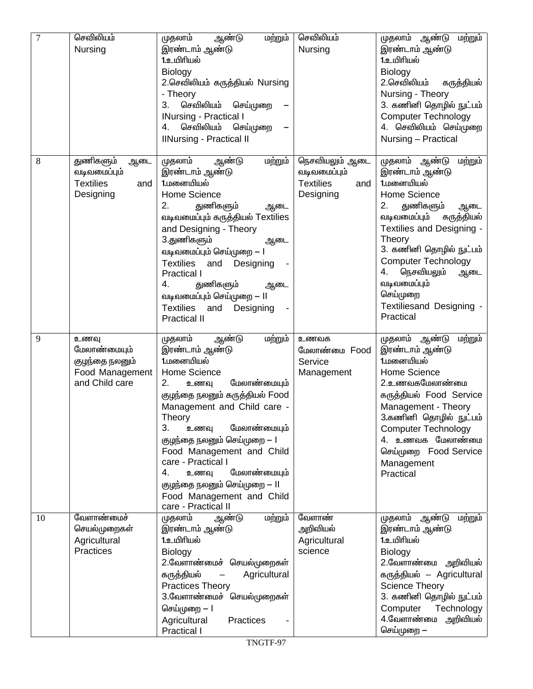| 7  | செவிலியம்<br>Nursing                                                        | ஆண்டு<br>மற்றும்<br>முதலாம்<br>இரண்டாம் ஆண்டு<br>1.உயிரியல்<br>Biology                                                                                                                                                                                                                                                                                                                                                 | செவிலியம்<br>Nursing                                                   | முதலாம் ஆண்டு<br>மற்றும்<br>இரண்டாம் ஆண்டு<br>1.உயிரியல்<br>Biology                                                                                                                                                                                                                                                              |
|----|-----------------------------------------------------------------------------|------------------------------------------------------------------------------------------------------------------------------------------------------------------------------------------------------------------------------------------------------------------------------------------------------------------------------------------------------------------------------------------------------------------------|------------------------------------------------------------------------|----------------------------------------------------------------------------------------------------------------------------------------------------------------------------------------------------------------------------------------------------------------------------------------------------------------------------------|
|    |                                                                             | 2.செவிலியம் கருத்தியல் Nursing<br>- Theory<br>செவிலியம்<br>3.<br>செய்முறை<br><b>INursing - Practical I</b><br>செவிலியம்<br>செய்முறை<br>4.<br><b>IlNursing - Practical II</b>                                                                                                                                                                                                                                           |                                                                        | 2.செவிலியம்<br>கருத்தியல்<br>Nursing - Theory<br>3. கணினி தொழில் நுட்பம்<br><b>Computer Technology</b><br>4. செவிலியம் செய்முறை<br>Nursing - Practical                                                                                                                                                                           |
| 8  | துணிகளும்<br>ஆடை<br>வடிவமைப்பும்<br><b>Textilies</b><br>and<br>Designing    | மற்றும்<br>முதலாம்<br>ஆண்டு<br>இரண்டாம் ஆண்டு<br>1.மனையியல்<br>Home Science<br>துணிகளும்<br>2.<br>ஆடை<br>வடிவமைப்பும் கருத்தியல் Textilies<br>and Designing - Theory<br>3.துணிகளும்<br>ஆடை<br>வடிவமைப்பும் செய்முறை — l<br>Textilies<br>and<br>Designing<br><b>Practical I</b><br>துணிகளும்<br>4.<br>ஆடை<br>வடிவமைப்பும் செய்முறை — ll<br><b>Textilies</b><br>and<br>Designing<br><b>Practical II</b>                  | நெசவியலும் ஆடை<br>வடிவமைப்பும்<br><b>Textilies</b><br>and<br>Designing | முதலாம் ஆண்டு<br>மற்றும்<br>இரண்டாம் ஆண்டு<br>1.மனையியல்<br>Home Science<br>துணிகளும்<br>2.<br>ஆடை<br>வடிவமைப்பும்<br>கருத்தியல்<br>Textilies and Designing -<br>Theory<br>3. கணினி தொழில் நுட்பம்<br><b>Computer Technology</b><br>4.<br>நெசவியலும்<br>ஆடை<br>வடிவமைப்பும்<br>செய்முறை<br>Textiliesand Designing -<br>Practical |
| 9  | உணவு<br>மேலாண்மையும்<br>குழந்தை நலனும்<br>Food Management<br>and Child care | மற்றும்<br>முதலாம்<br>ஆண்டு<br>இரண்டாம் ஆண்டு<br>1.மனையியல்<br>Home Science<br>மேலாண்மையும்<br>2.<br>உணவு<br>குழந்தை நலனும் கருத்தியல் Food<br>Management and Child care -<br>Theory<br>3.<br>மேலாண்மையும்<br>உணவு<br>குழந்தை நலனும் செய்முறை — l<br>Food Management and Child<br>care - Practical I<br>மேலாண்மையும்<br>4.<br>உணவு<br>குழந்தை நலனும் செய்முறை — ll<br>Food Management and Child<br>care - Practical II | உணவக<br>மேலாண்மை Food<br>Service<br>Management                         | முதலாம் ஆண்டு<br>மற்றும்<br>இரண்டாம் ஆண்டு<br>1.மனையியல்<br>Home Science<br><u>2.உணவகமேலாண்மை</u><br>கருத்தியல் Food Service<br>Management - Theory<br>3.கணினி தொழில் நுட்பம்<br><b>Computer Technology</b><br>4. உணவக மேலாண்மை<br>செய்முறை Food Service<br>Management<br>Practical                                              |
| 10 | வேளாண்மைச்<br>செயல்முறைகள்<br>Agricultural<br><b>Practices</b>              | முதலாம்<br>மற்றும்<br>ஆண்டு<br>இரண்டாம் ஆண்டு<br>1.உயிரியல்<br>Biology<br>2.வேளாண்மைச் செயல்முறைகள்<br>கருத்தியல்<br>Agricultural<br><b>Practices Theory</b><br>3.வேளாண்மைச் செயல்முறைகள்<br>செய்முறை — l<br>Agricultural<br>Practices<br>Practical I                                                                                                                                                                  | வேளாண்<br>அறிவியல்<br>Agricultural<br>science                          | முதலாம்<br>ஆண்டு<br>மற்றும்<br>இரண்டாம் ஆண்டு<br>1.உயிரியல்<br>Biology<br>2.வேளாண்மை அறிவியல்<br>கருத்தியல் – Agricultural<br><b>Science Theory</b><br>3. கணினி தொழில் நுட்பம்<br>Technology<br>Computer<br>4.வேளாண்மை<br>அறிவியல்<br>செய்முறை —                                                                                 |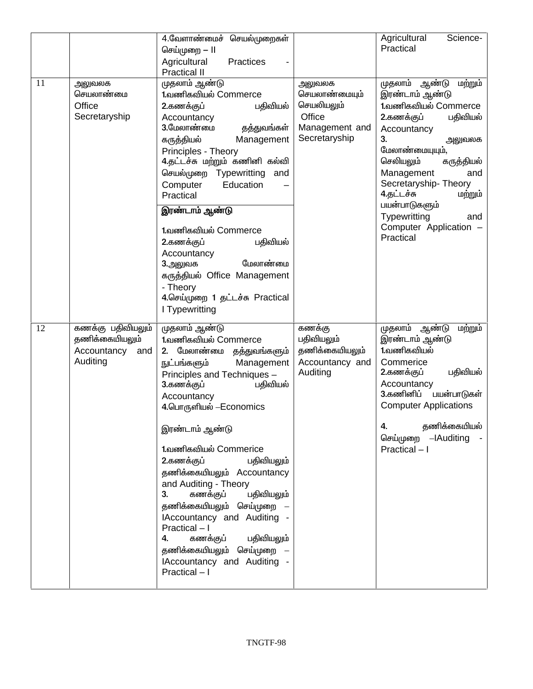|    |                                                                       | 4.வேளாண்மைச் செயல்முறைகள்<br>செய்முறை — II<br>Agricultural<br>Practices<br><b>Practical II</b>                                                                                                                                                                                                                                                                                                                                                                                                                                                                        |                                                                                    | Agricultural<br>Science-<br>Practical                                                                                                                                                                                                                                                                                             |
|----|-----------------------------------------------------------------------|-----------------------------------------------------------------------------------------------------------------------------------------------------------------------------------------------------------------------------------------------------------------------------------------------------------------------------------------------------------------------------------------------------------------------------------------------------------------------------------------------------------------------------------------------------------------------|------------------------------------------------------------------------------------|-----------------------------------------------------------------------------------------------------------------------------------------------------------------------------------------------------------------------------------------------------------------------------------------------------------------------------------|
| 11 | அலுவலக<br>செயலாண்மை<br>Office<br>Secretaryship                        | முதலாம் ஆண்டு<br>1.வணிகவியல் Commerce<br>2.கணக்குப்<br>பதிவியல்<br>Accountancy<br>3.மேலாண்மை<br>தத்துவங்கள்<br>கருத்தியல்<br>Management<br>Principles - Theory<br>4.தட்டச்சு மற்றும் கணினி கல்வி<br>செயல்முறை Typewritting<br>and<br>Computer<br>Education<br>Practical<br>இரண்டாம் ஆண்டு<br>1.வணிகவியல் Commerce<br>2.கணக்குப்<br>பதிவியல்<br>Accountancy<br>மேலாண்மை<br>3.அலுவக<br>கருத்தியல் Office Management<br>- Theory<br>4.செய்முறை 1 தட்டச்சு Practical<br>I Typewritting                                                                                    | அலுவலக<br>செயலாண்மையும்<br>செயலியலும்<br>Office<br>Management and<br>Secretaryship | முதலாம்<br>ஆண்டு<br>மற்றும்<br>இரண்டாம் ஆண்டு<br>1.வணிகவியல் Commerce<br>2.கணக்குப்<br>பதிவியல்<br>Accountancy<br>3.<br>அலுவலக<br>மேலாண்மையுயும்,<br>செலியலும்<br>கருத்தியல்<br>Management<br>and<br>Secretaryship-Theory<br>4.தட்டச்சு<br>மற்றும்<br>பயன்பாடுகளும்<br>Typewritting<br>and<br>Computer Application -<br>Practical |
| 12 | கணக்கு பதிவியலும்<br>தணிக்கையியலும்<br>Accountancy<br>and<br>Auditing | முதலாம் ஆண்டு<br>1.வணிகவியல் Commerce<br>2. மேலாண்மை<br>தத்துவங்களும்<br>Management<br>நுட்பங்களும்<br>Principles and Techniques -<br>பதிவியல்<br>3.கணக்குப்<br>Accountancy<br>4.பொருளியல் –Economics<br>இரண்டாம் ஆண்டு<br>1.வணிகவியல் Commerice<br>2.கணக்குப்<br>பதிவியலும்<br>தணிக்கையியலும் Accountancy<br>and Auditing - Theory<br>கணக்குப்<br>பதிவியலும்<br>3 <sub>1</sub><br>தணிக்கையியலும் செய்முறை<br>IAccountancy and Auditing -<br>Practical - I<br>பதிவியலும்<br>4.<br>கணக்குப்<br>தணிக்கையியலும் செய்முறை<br>IAccountancy and Auditing -<br>Practical - I | கணக்கு<br>பதிவியலும்<br>தணிக்கையியலும்<br>Accountancy and<br>Auditing              | முதலாம்<br>ஆண்டு<br>மற்றும்<br>இரண்டாம் ஆண்டு<br>1.வணிகவியல்<br>Commerice<br>பதிவியல்<br>2.கணக்குப்<br>Accountancy<br>3.கணினிப்<br>பயன்பாடுகள்<br><b>Computer Applications</b><br>தணிக்கையியல்<br>4.<br>செய்முறை – Auditing<br>Practical - I                                                                                      |